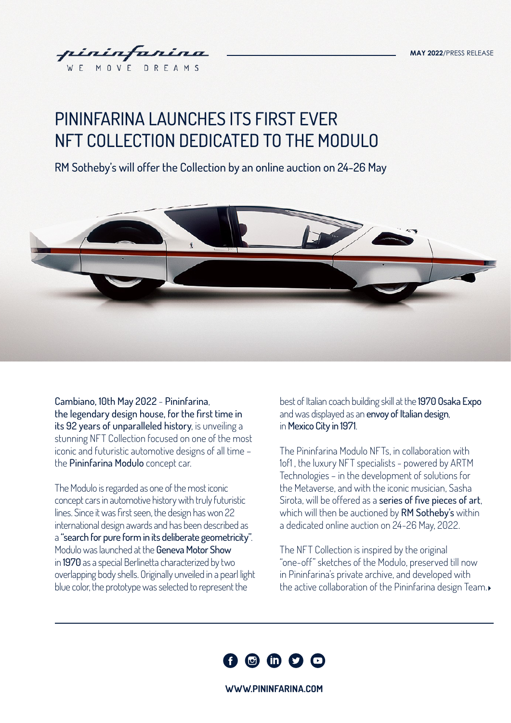

# PININFARINA LAUNCHES ITS FIRST EVER NFT COLLECTION DEDICATED TO THE MODULO

RM Sotheby's will offer the Collection by an online auction on 24-26 May



Cambiano, 10th May 2022 - Pininfarina, the legendary design house, for the first time in its 92 years of unparalleled history, is unveiling a stunning NFT Collection focused on one of the most iconic and futuristic automotive designs of all time – the Pininfarina Modulo concept car.

The Modulo is regarded as one of the most iconic concept cars in automotive history with truly futuristic lines. Since it was first seen, the design has won 22 international design awards and has been described as a "search for pure form in its deliberate geometricity". Modulo was launched at the Geneva Motor Show in 1970 as a special Berlinetta characterized by two overlapping body shells. Originally unveiled in a pearl light blue color, the prototype was selected to represent the

best of Italian coach building skill at the 1970 Osaka Expo and was displayed as an envoy of Italian design, in Mexico City in 1971.

The Pininfarina Modulo NFTs, in collaboration with 1of1 , the luxury NFT specialists - powered by ARTM Technologies – in the development of solutions for the Metaverse, and with the iconic musician, Sasha Sirota, will be offered as a series of five pieces of art, which will then be auctioned by RM Sotheby's within a dedicated online auction on 24-26 May, 2022.

The NFT Collection is inspired by the original "one-off" sketches of the Modulo, preserved till now in Pininfarina's private archive, and developed with the active collaboration of the Pininfarina design Team.



**[WWW.PININFARINA.COM](http://www.pininfarina.com)**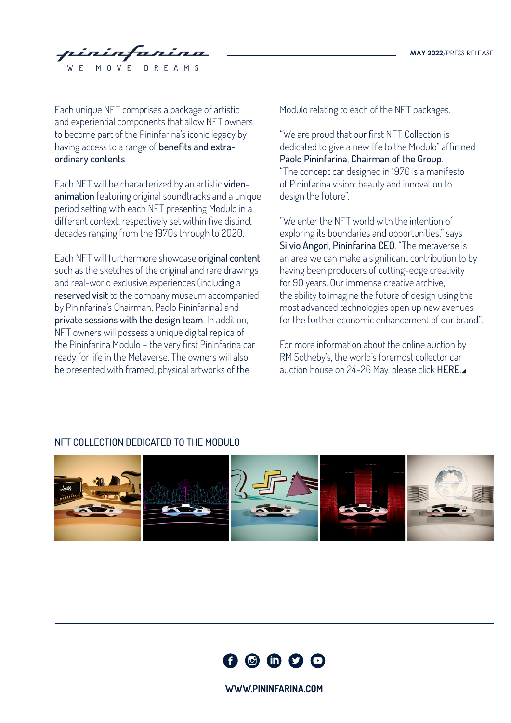intanina MOVE DRE

Each unique NFT comprises a package of artistic and experiential components that allow NFT owners to become part of the Pininfarina's iconic legacy by having access to a range of benefits and extraordinary contents.

Each NFT will be characterized by an artistic videoanimation featuring original soundtracks and a unique period setting with each NFT presenting Modulo in a different context, respectively set within five distinct decades ranging from the 1970s through to 2020.

Each NFT will furthermore showcase original content such as the sketches of the original and rare drawings and real-world exclusive experiences (including a reserved visit to the company museum accompanied by Pininfarina's Chairman, Paolo Pininfarina) and private sessions with the design team. In addition, NFT owners will possess a unique digital replica of the Pininfarina Modulo – the very first Pininfarina car ready for life in the Metaverse. The owners will also be presented with framed, physical artworks of the

Modulo relating to each of the NFT packages.

"We are proud that our first NFT Collection is dedicated to give a new life to the Modulo" affirmed Paolo Pininfarina, Chairman of the Group. "The concept car designed in 1970 is a manifesto of Pininfarina vision: beauty and innovation to design the future".

"We enter the NFT world with the intention of exploring its boundaries and opportunities," says Silvio Angori, Pininfarina CEO. "The metaverse is an area we can make a significant contribution to by having been producers of cutting-edge creativity for 90 years. Our immense creative archive, the ability to imagine the future of design using the most advanced technologies open up new avenues for the further economic enhancement of our brand".

For more information about the online auction by RM Sotheby's, the world's foremost collector car auction house on 24-26 May, please click [HERE](https://rmsothebys.com/en/home/auctions/).

#### NFT COLLECTION DEDICATED TO THE MODULO





**[WWW.PININFARINA.COM](http://www.pininfarina.com)**